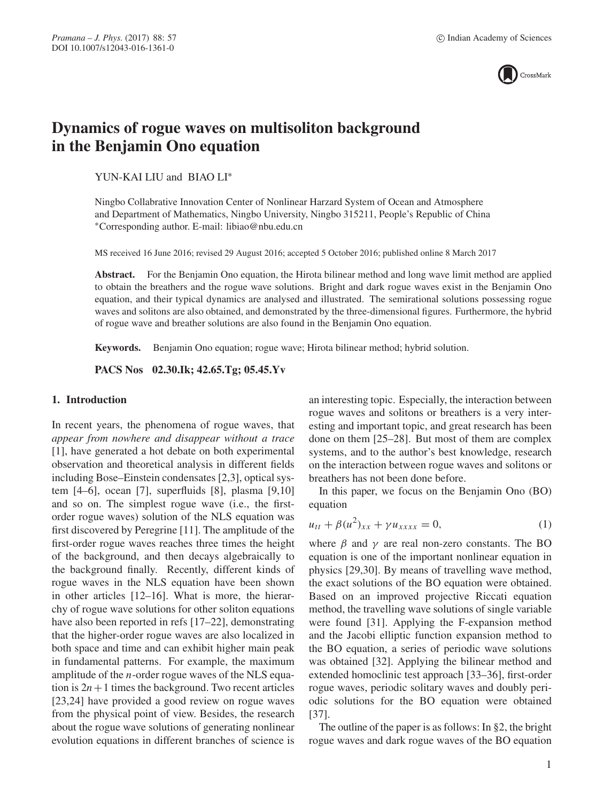

# **Dynamics of rogue waves on multisoliton background in the Benjamin Ono equation**

YUN-KAI LIU and BIAO LI∗

Ningbo Collabrative Innovation Center of Nonlinear Harzard System of Ocean and Atmosphere and Department of Mathematics, Ningbo University, Ningbo 315211, People's Republic of China ∗Corresponding author. E-mail: libiao@nbu.edu.cn

MS received 16 June 2016; revised 29 August 2016; accepted 5 October 2016; published online 8 March 2017

**Abstract.** For the Benjamin Ono equation, the Hirota bilinear method and long wave limit method are applied to obtain the breathers and the rogue wave solutions. Bright and dark rogue waves exist in the Benjamin Ono equation, and their typical dynamics are analysed and illustrated. The semirational solutions possessing rogue waves and solitons are also obtained, and demonstrated by the three-dimensional figures. Furthermore, the hybrid of rogue wave and breather solutions are also found in the Benjamin Ono equation.

**Keywords.** Benjamin Ono equation; rogue wave; Hirota bilinear method; hybrid solution.

**PACS Nos 02.30.Ik; 42.65.Tg; 05.45.Yv**

## **1. Introduction**

In recent years, the phenomena of rogue waves, that *appear from nowhere and disappear without a trace* [1], have generated a hot debate on both experimental observation and theoretical analysis in different fields including Bose–Einstein condensates [2,3], optical system [4–6], ocean [7], superfluids [8], plasma [9,10] and so on. The simplest rogue wave (i.e., the firstorder rogue waves) solution of the NLS equation was first discovered by Peregrine [11]. The amplitude of the first-order rogue waves reaches three times the height of the background, and then decays algebraically to the background finally. Recently, different kinds of rogue waves in the NLS equation have been shown in other articles [12–16]. What is more, the hierarchy of rogue wave solutions for other soliton equations have also been reported in refs [17–22], demonstrating that the higher-order rogue waves are also localized in both space and time and can exhibit higher main peak in fundamental patterns. For example, the maximum amplitude of the n-order rogue waves of the NLS equation is  $2n+1$  times the background. Two recent articles [23,24] have provided a good review on rogue waves from the physical point of view. Besides, the research about the rogue wave solutions of generating nonlinear evolution equations in different branches of science is an interesting topic. Especially, the interaction between rogue waves and solitons or breathers is a very interesting and important topic, and great research has been done on them [25–28]. But most of them are complex systems, and to the author's best knowledge, research on the interaction between rogue waves and solitons or breathers has not been done before.

In this paper, we focus on the Benjamin Ono (BO) equation

$$
u_{tt} + \beta (u^2)_{xx} + \gamma u_{xxxx} = 0, \tag{1}
$$

where  $\beta$  and  $\gamma$  are real non-zero constants. The BO equation is one of the important nonlinear equation in physics [29,30]. By means of travelling wave method, the exact solutions of the BO equation were obtained. Based on an improved projective Riccati equation method, the travelling wave solutions of single variable were found [31]. Applying the F-expansion method and the Jacobi elliptic function expansion method to the BO equation, a series of periodic wave solutions was obtained [32]. Applying the bilinear method and extended homoclinic test approach [33–36], first-order rogue waves, periodic solitary waves and doubly periodic solutions for the BO equation were obtained [37].

The outline of the paper is as follows: In §2, the bright rogue waves and dark rogue waves of the BO equation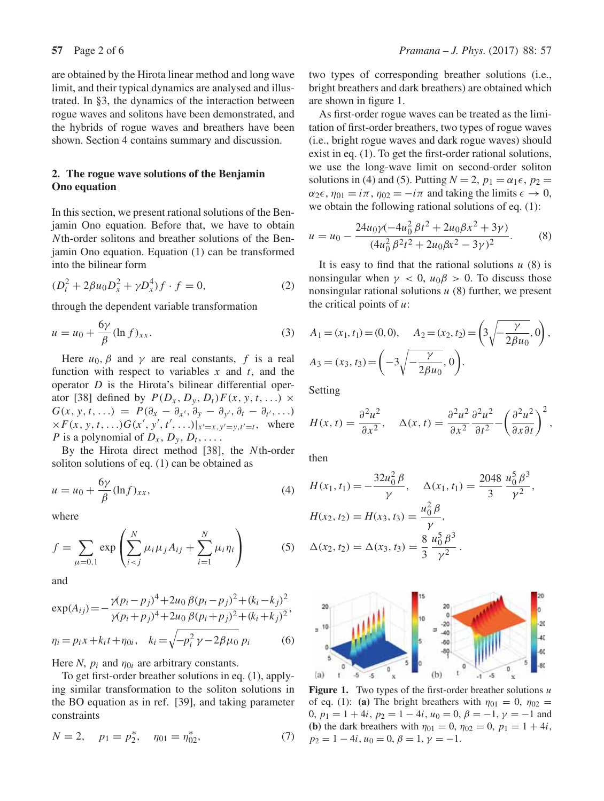are obtained by the Hirota linear method and long wave limit, and their typical dynamics are analysed and illustrated. In §3, the dynamics of the interaction between rogue waves and solitons have been demonstrated, and the hybrids of rogue waves and breathers have been shown. Section 4 contains summary and discussion.

## **2. The rogue wave solutions of the Benjamin Ono equation**

In this section, we present rational solutions of the Benjamin Ono equation. Before that, we have to obtain Nth-order solitons and breather solutions of the Benjamin Ono equation. Equation (1) can be transformed into the bilinear form

$$
(D_t^2 + 2\beta u_0 D_x^2 + \gamma D_x^4) f \cdot f = 0,
$$
 (2)

through the dependent variable transformation

$$
u = u_0 + \frac{6\gamma}{\beta} (\ln f)_{xx}.
$$
 (3)

Here  $u_0$ ,  $\beta$  and  $\gamma$  are real constants, f is a real function with respect to variables  $x$  and  $t$ , and the operator D is the Hirota's bilinear differential operator [38] defined by  $P(D_x, D_y, D_t)F(x, y, t, ...) \times$  $G(x, y, t, \ldots) = P(\partial_x - \partial_{x'}, \partial_y - \partial_{y'}, \partial_t - \partial_{t'}, \ldots)$  $\times F(x, y, t, ...)$   $G(x', y', t', ...) |_{x'=x, y'=y, t'=t}$ , where P is a polynomial of  $D_x$ ,  $D_y$ ,  $D_t$ , ...

By the Hirota direct method [38], the Nth-order soliton solutions of eq. (1) can be obtained as

$$
u = u_0 + \frac{6\gamma}{\beta} (\ln f)_{xx},\tag{4}
$$

where

$$
f = \sum_{\mu=0,1} \exp \left( \sum_{i < j}^{N} \mu_i \mu_j A_{ij} + \sum_{i=1}^{N} \mu_i \eta_i \right) \tag{5}
$$

and

$$
\exp(A_{ij}) = -\frac{\gamma(p_i - p_j)^4 + 2u_0 \beta(p_i - p_j)^2 + (k_i - k_j)^2}{\gamma(p_i + p_j)^4 + 2u_0 \beta(p_i + p_j)^2 + (k_i + k_j)^2},
$$
  
\n
$$
\eta_i = p_i x + k_i t + \eta_{0i}, \quad k_i = \sqrt{-p_i^2 \gamma - 2\beta \mu_0 p_i}
$$
 (6)

Here *N*,  $p_i$  and  $\eta_{0i}$  are arbitrary constants.

To get first-order breather solutions in eq. (1), applying similar transformation to the soliton solutions in the BO equation as in ref. [39], and taking parameter constraints

$$
N = 2, \quad p_1 = p_2^*, \quad \eta_{01} = \eta_{02}^*, \tag{7}
$$

two types of corresponding breather solutions (i.e., bright breathers and dark breathers) are obtained which are shown in figure 1.

As first-order rogue waves can be treated as the limitation of first-order breathers, two types of rogue waves (i.e., bright rogue waves and dark rogue waves) should exist in eq. (1). To get the first-order rational solutions, we use the long-wave limit on second-order soliton solutions in (4) and (5). Putting  $N = 2$ ,  $p_1 = \alpha_1 \epsilon$ ,  $p_2 =$  $\alpha_2 \epsilon$ ,  $\eta_{01} = i\pi$ ,  $\eta_{02} = -i\pi$  and taking the limits  $\epsilon \to 0$ , we obtain the following rational solutions of eq. (1):

$$
u = u_0 - \frac{24u_0\gamma(-4u_0^2\beta t^2 + 2u_0\beta x^2 + 3\gamma)}{(4u_0^2\beta^2 t^2 + 2u_0\beta x^2 - 3\gamma)^2}.
$$
 (8)

It is easy to find that the rational solutions  $u(8)$  is nonsingular when  $\gamma$  < 0,  $u_0\beta$  > 0. To discuss those nonsingular rational solutions  $u(8)$  further, we present the critical points of  $u$ :

$$
A_1 = (x_1, t_1) = (0, 0), \quad A_2 = (x_2, t_2) = \left(3\sqrt{-\frac{\gamma}{2\beta u_0}}, 0\right),
$$
  

$$
A_3 = (x_3, t_3) = \left(-3\sqrt{-\frac{\gamma}{2\beta u_0}}, 0\right).
$$

Setting

$$
H(x,t) = \frac{\partial^2 u^2}{\partial x^2}, \quad \Delta(x,t) = \frac{\partial^2 u^2}{\partial x^2} \frac{\partial^2 u^2}{\partial t^2} - \left(\frac{\partial^2 u^2}{\partial x \partial t}\right)^2,
$$

then

$$
H(x_1, t_1) = -\frac{32u_0^2 \beta}{\gamma}, \quad \Delta(x_1, t_1) = \frac{2048}{3} \frac{u_0^5 \beta^3}{\gamma^2},
$$

$$
H(x_2, t_2) = H(x_3, t_3) = \frac{u_0^2 \beta}{\gamma},
$$

$$
\Delta(x_2, t_2) = \Delta(x_3, t_3) = \frac{8}{3} \frac{u_0^5 \beta^3}{\gamma^2}.
$$



**Figure 1.** Two types of the first-order breather solutions u of eq. (1): **(a)** The bright breathers with  $\eta_{01} = 0$ ,  $\eta_{02} =$ 0,  $p_1 = 1 + 4i$ ,  $p_2 = 1 - 4i$ ,  $u_0 = 0$ ,  $\beta = -1$ ,  $\gamma = -1$  and **(b)** the dark breathers with  $\eta_{01} = 0$ ,  $\eta_{02} = 0$ ,  $p_1 = 1 + 4i$ ,  $p_2 = 1 - 4i$ ,  $u_0 = 0$ ,  $\beta = 1$ ,  $\gamma = -1$ .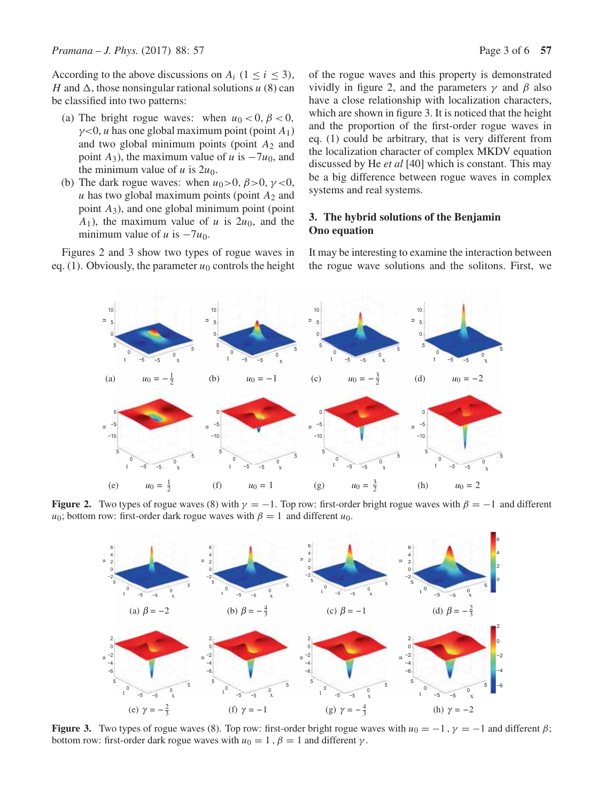According to the above discussions on  $A_i$  ( $1 \le i \le 3$ ), H and  $\Delta$ , those nonsingular rational solutions u (8) can be classified into two patterns:

- (a) The bright rogue waves: when  $u_0 < 0$ ,  $\beta < 0$ ,  $\gamma$ <0, *u* has one global maximum point (point  $A_1$ ) and two global minimum points (point  $A_2$  and point  $A_3$ ), the maximum value of u is  $-7u_0$ , and the minimum value of u is  $2u_0$ .
- (b) The dark rogue waves: when  $u_0 > 0$ ,  $\beta > 0$ ,  $\gamma < 0$ ,  $u$  has two global maximum points (point  $A_2$  and point  $A_3$ ), and one global minimum point (point  $A_1$ ), the maximum value of u is  $2u_0$ , and the minimum value of  $u$  is  $-7u_0$ .

Figures 2 and 3 show two types of rogue waves in eq. (1). Obviously, the parameter  $u_0$  controls the height of the rogue waves and this property is demonstrated vividly in figure 2, and the parameters  $\gamma$  and  $\beta$  also have a close relationship with localization characters, which are shown in figure 3. It is noticed that the height and the proportion of the first-order rogue waves in eq. (1) could be arbitrary, that is very different from the localization character of complex MKDV equation discussed by He *et al* [40] which is constant. This may be a big difference between rogue waves in complex systems and real systems.

# **3. The hybrid solutions of the Benjamin Ono equation**

It may be interesting to examine the interaction between the rogue wave solutions and the solitons. First, we



**Figure 2.** Two types of rogue waves (8) with  $\gamma = -1$ . Top row: first-order bright rogue waves with  $\beta = -1$  and different  $u_0$ ; bottom row: first-order dark rogue waves with  $\beta = 1$  and different  $u_0$ .



**Figure 3.** Two types of rogue waves (8). Top row: first-order bright rogue waves with  $u_0 = -1$ ,  $\gamma = -1$  and different  $\beta$ ; bottom row: first-order dark rogue waves with  $u_0 = 1$ ,  $\beta = 1$  and different  $\gamma$ .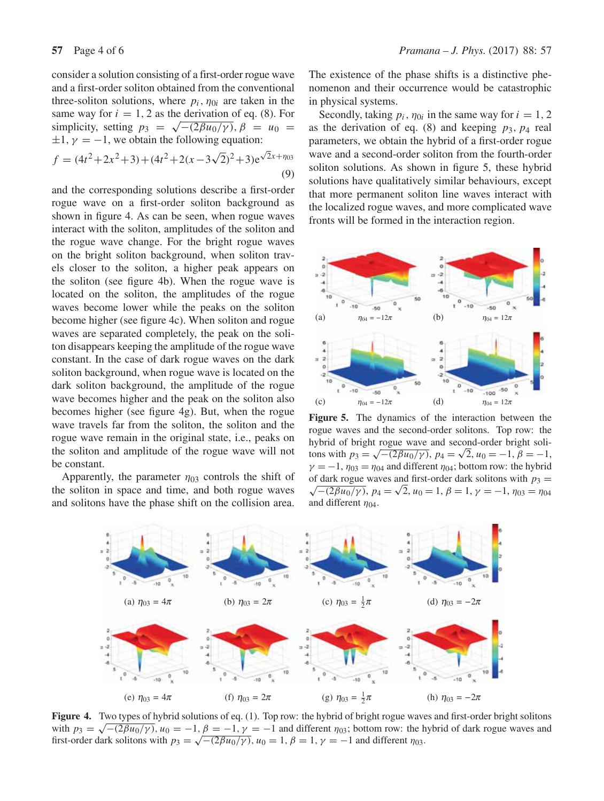consider a solution consisting of a first-order rogue wave and a first-order soliton obtained from the conventional three-soliton solutions, where  $p_i$ ,  $\eta_{0i}$  are taken in the same way for  $i = 1, 2$  as the derivation of eq. (8). For simplicity, setting  $p_3 = \sqrt{- (2 \beta u_0/\gamma)}$ ,  $\beta = u_0 =$  $\pm 1$ ,  $\gamma = -1$ , we obtain the following equation:

$$
f = (4t2 + 2x2 + 3) + (4t2 + 2(x - 3\sqrt{2})2 + 3)e\sqrt{2}x + \eta_{03}
$$
\n(9)

and the corresponding solutions describe a first-order rogue wave on a first-order soliton background as shown in figure 4. As can be seen, when rogue waves interact with the soliton, amplitudes of the soliton and the rogue wave change. For the bright rogue waves on the bright soliton background, when soliton travels closer to the soliton, a higher peak appears on the soliton (see figure 4b). When the rogue wave is located on the soliton, the amplitudes of the rogue waves become lower while the peaks on the soliton become higher (see figure 4c). When soliton and rogue waves are separated completely, the peak on the soliton disappears keeping the amplitude of the rogue wave constant. In the case of dark rogue waves on the dark soliton background, when rogue wave is located on the dark soliton background, the amplitude of the rogue wave becomes higher and the peak on the soliton also becomes higher (see figure 4g). But, when the rogue wave travels far from the soliton, the soliton and the rogue wave remain in the original state, i.e., peaks on the soliton and amplitude of the rogue wave will not be constant.

Apparently, the parameter  $\eta_{03}$  controls the shift of the soliton in space and time, and both rogue waves and solitons have the phase shift on the collision area. The existence of the phase shifts is a distinctive phenomenon and their occurrence would be catastrophic in physical systems.

Secondly, taking  $p_i$ ,  $\eta_{0i}$  in the same way for  $i = 1, 2$ as the derivation of eq. (8) and keeping  $p_3$ ,  $p_4$  real parameters, we obtain the hybrid of a first-order rogue wave and a second-order soliton from the fourth-order soliton solutions. As shown in figure 5, these hybrid solutions have qualitatively similar behaviours, except that more permanent soliton line waves interact with the localized rogue waves, and more complicated wave fronts will be formed in the interaction region.



**Figure 5.** The dynamics of the interaction between the rogue waves and the second-order solitons. Top row: the hybrid of bright rogue wave and second-order bright solitons with  $p_3 = \sqrt{-\frac{2\beta u_0}{\gamma}}$ ,  $p_4 = \sqrt{2}$ ,  $u_0 = -1$ ,  $\beta = -1$ ,  $\gamma = -1$ ,  $\eta_{03} = \eta_{04}$  and different  $\eta_{04}$ ; bottom row: the hybrid of dark rogue waves and first-order dark solitons with  $p_3 =$  $\sqrt{-2\beta u_0/\gamma}$ ,  $p_4 = \sqrt{2}$ ,  $u_0 = 1$ ,  $\beta = 1$ ,  $\gamma = -1$ ,  $\eta_{03} = \eta_{04}$ and different  $\eta_{04}$ .



**Figure 4.** Two types of hybrid solutions of eq. (1). Top row: the hybrid of bright rogue waves and first-order bright solitons with  $p_3 = \sqrt{-2\beta u_0/\gamma}$ ,  $u_0 = -1$ ,  $\beta = -1$ ,  $\gamma = -1$  and different  $\eta_{03}$ ; bottom row: the hybrid of dark rogue waves and first-order dark solitons with  $p_3 = \sqrt{-(2\beta u_0/\gamma)}$ ,  $u_0 = 1$ ,  $\beta = 1$ ,  $\gamma = -1$  and different  $\eta_{03}$ .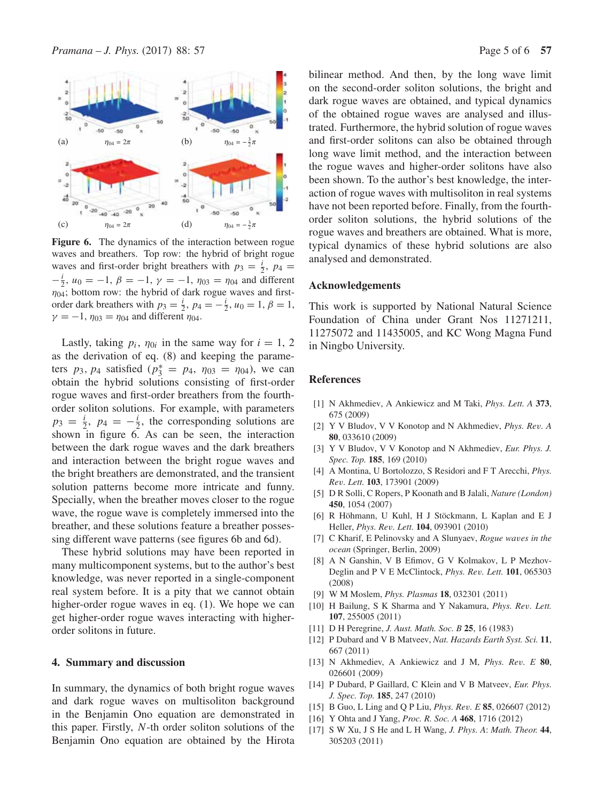

**Figure 6.** The dynamics of the interaction between rogue waves and breathers. Top row: the hybrid of bright rogue waves and first-order bright breathers with  $p_3 = \frac{i}{2}$ ,  $p_4 =$  $-\frac{i}{2}$ ,  $u_0 = -1$ ,  $\beta = -1$ ,  $\gamma = -1$ ,  $\eta_{03} = \eta_{04}$  and different  $\eta_{04}$ ; bottom row: the hybrid of dark rogue waves and firstorder dark breathers with  $p_3 = \frac{i}{2}$ ,  $p_4 = -\frac{i}{2}$ ,  $u_0 = 1$ ,  $\beta = 1$ ,  $\gamma = -1$ ,  $\eta_{03} = \eta_{04}$  and different  $\eta_{04}$ .

Lastly, taking  $p_i$ ,  $\eta_{0i}$  in the same way for  $i = 1, 2$ as the derivation of eq. (8) and keeping the parameters  $p_3$ ,  $p_4$  satisfied  $(p_3^* = p_4, \eta_{03} = \eta_{04})$ , we can obtain the hybrid solutions consisting of first-order rogue waves and first-order breathers from the fourthorder soliton solutions. For example, with parameters  $p_3 = \frac{i}{2}$ ,  $p_4 = -\frac{i}{2}$ , the corresponding solutions are shown in figure 6. As can be seen, the interaction between the dark rogue waves and the dark breathers and interaction between the bright rogue waves and the bright breathers are demonstrated, and the transient solution patterns become more intricate and funny. Specially, when the breather moves closer to the rogue wave, the rogue wave is completely immersed into the breather, and these solutions feature a breather possessing different wave patterns (see figures 6b and 6d).

These hybrid solutions may have been reported in many multicomponent systems, but to the author's best knowledge, was never reported in a single-component real system before. It is a pity that we cannot obtain higher-order rogue waves in eq. (1). We hope we can get higher-order rogue waves interacting with higherorder solitons in future.

#### **4. Summary and discussion**

In summary, the dynamics of both bright rogue waves and dark rogue waves on multisoliton background in the Benjamin Ono equation are demonstrated in this paper. Firstly, N-th order soliton solutions of the Benjamin Ono equation are obtained by the Hirota bilinear method. And then, by the long wave limit on the second-order soliton solutions, the bright and dark rogue waves are obtained, and typical dynamics of the obtained rogue waves are analysed and illustrated. Furthermore, the hybrid solution of rogue waves and first-order solitons can also be obtained through long wave limit method, and the interaction between the rogue waves and higher-order solitons have also been shown. To the author's best knowledge, the interaction of rogue waves with multisoliton in real systems have not been reported before. Finally, from the fourthorder soliton solutions, the hybrid solutions of the rogue waves and breathers are obtained. What is more, typical dynamics of these hybrid solutions are also analysed and demonstrated.

#### **Acknowledgements**

This work is supported by National Natural Science Foundation of China under Grant Nos 11271211, 11275072 and 11435005, and KC Wong Magna Fund in Ningbo University.

### **References**

- [1] N Akhmediev, A Ankiewicz and M Taki, *Phys. Lett. A* **373**, 675 (2009)
- [2] Y V Bludov, V V Konotop and N Akhmediev, *Phys. Re*v*. A* **80**, 033610 (2009)
- [3] Y V Bludov, V V Konotop and N Akhmediev, *Eur. Phys. J. Spec. Top.* **185**, 169 (2010)
- [4] A Montina, U Bortolozzo, S Residori and F T Arecchi, *Phys. Re*v*. Lett.* **103**, 173901 (2009)
- [5] D R Solli, C Ropers, P Koonath and B Jalali, *Nature (London)* **450**, 1054 (2007)
- [6] R Höhmann, U Kuhl, H J Stöckmann, L Kaplan and E J Heller, *Phys. Re*v*. Lett.* **104**, 093901 (2010)
- [7] C Kharif, E Pelinovsky and A Slunyaev, *Rogue wa*v*es in the ocean* (Springer, Berlin, 2009)
- [8] A N Ganshin, V B Efimov, G V Kolmakov, L P Mezhov-Deglin and P V E McClintock, *Phys. Re*v*. Lett.* **101**, 065303 (2008)
- [9] W M Moslem, *Phys. Plasmas* **18**, 032301 (2011)
- [10] H Bailung, S K Sharma and Y Nakamura, *Phys. Re*v*. Lett.* **107**, 255005 (2011)
- [11] D H Peregrine, *J. Aust. Math. Soc. B* **25**, 16 (1983)
- [12] P Dubard and V B Matveev, *Nat. Hazards Earth Syst. Sci.* **11**, 667 (2011)
- [13] N Akhmediev, A Ankiewicz and J M, *Phys. Re*v*. E* **80**, 026601 (2009)
- [14] P Dubard, P Gaillard, C Klein and V B Matveev, *Eur. Phys. J. Spec. Top.* **185**, 247 (2010)
- [15] B Guo, L Ling and Q P Liu, *Phys. Re*v*. E* **85**, 026607 (2012)
- [16] Y Ohta and J Yang, *Proc. R. Soc. A* **468**, 1716 (2012)
- [17] S W Xu, J S He and L H Wang, *J. Phys. A*: *Math. Theor.* **44**, 305203 (2011)